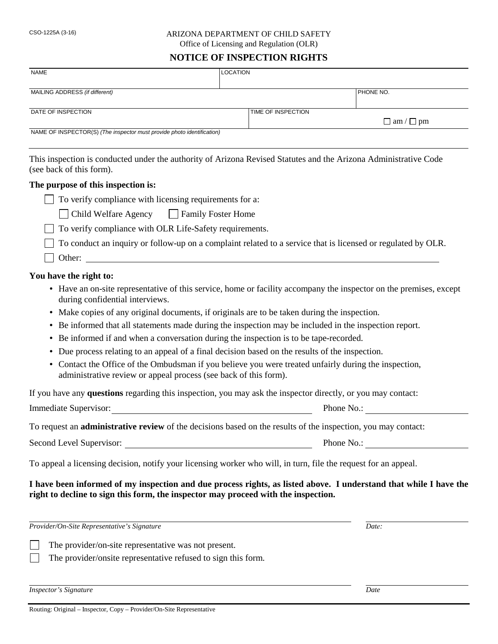#### CSO-1225A (3-16) ARIZONA DEPARTMENT OF CHILD SAFETY Office of Licensing and Regulation (OLR)

#### **NOTICE OF INSPECTION RIGHTS**

| <b>NAME</b>                                                            | <b>LOCATION</b>                                         |                                                                                                                  |
|------------------------------------------------------------------------|---------------------------------------------------------|------------------------------------------------------------------------------------------------------------------|
| MAILING ADDRESS (if different)                                         |                                                         | PHONE NO.                                                                                                        |
| DATE OF INSPECTION                                                     | TIME OF INSPECTION                                      |                                                                                                                  |
|                                                                        |                                                         | $\Box$ am / $\Box$ pm                                                                                            |
| NAME OF INSPECTOR(S) (The inspector must provide photo identification) |                                                         |                                                                                                                  |
|                                                                        |                                                         |                                                                                                                  |
| (see back of this form).                                               |                                                         | This inspection is conducted under the authority of Arizona Revised Statutes and the Arizona Administrative Code |
| The purpose of this inspection is:                                     |                                                         |                                                                                                                  |
|                                                                        |                                                         |                                                                                                                  |
|                                                                        | To verify compliance with licensing requirements for a: |                                                                                                                  |

| $\Box$ Child Welfare Agency | $\Box$ Family Foster Home |
|-----------------------------|---------------------------|
|-----------------------------|---------------------------|

 $\Box$  To verify compliance with OLR Life-Safety requirements.

To conduct an inquiry or follow-up on a complaint related to a service that is licensed or regulated by OLR.

Other:

#### **You have the right to:**

- Have an on-site representative of this service, home or facility accompany the inspector on the premises, except during confidential interviews.
- Make copies of any original documents, if originals are to be taken during the inspection.
- Be informed that all statements made during the inspection may be included in the inspection report.
- Be informed if and when a conversation during the inspection is to be tape-recorded.
- Due process relating to an appeal of a final decision based on the results of the inspection.
- Contact the Office of the Ombudsman if you believe you were treated unfairly during the inspection, administrative review or appeal process (see back of this form).

If you have any **questions** regarding this inspection, you may ask the inspector directly, or you may contact:

Immediate Supervisor: Phone No.:

To request an **administrative review** of the decisions based on the results of the inspection, you may contact:

Second Level Supervisor: Phone No.:

To appeal a licensing decision, notify your licensing worker who will, in turn, file the request for an appeal.

## **I have been informed of my inspection and due process rights, as listed above. I understand that while I have the right to decline to sign this form, the inspector may proceed with the inspection.**

*Provider/On-Site Representative's Signature Date:*

The provider/on-site representative was not present.

The provider/onsite representative refused to sign this form.

*Inspector's Signature Date*